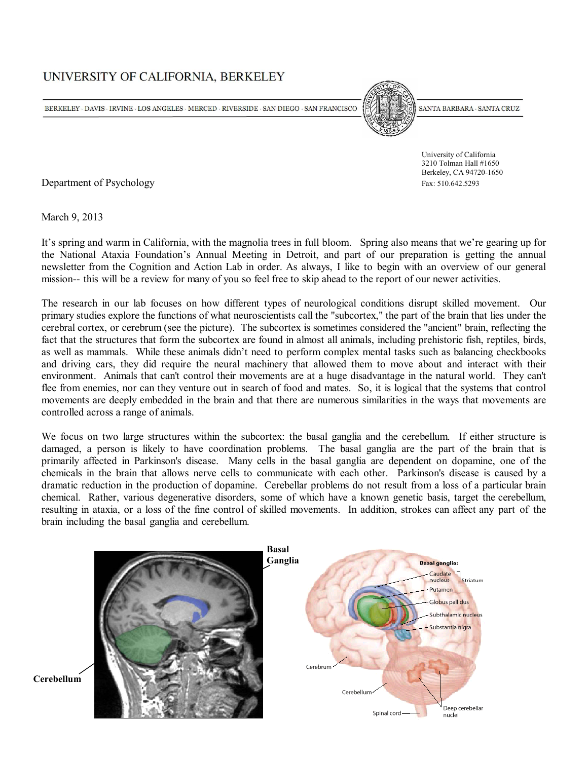# UNIVERSITY OF CALIFORNIA, BERKELEY

BERKELEY  $\cdot$  DAVIS  $\cdot$  IRVINE  $\cdot$  LOS ANGELES  $\cdot$  MERCED  $\cdot$  RIVERSIDE  $\cdot$  SAN DIEGO  $\cdot$  SAN FRANCISCO



SANTA BARBARA · SANTA CRUZ

 University of California 3210 Tolman Hall #1650 Berkeley, CA 94720-1650

Department of Psychology Fax: 510.642.5293

March 9, 2013

It's spring and warm in California, with the magnolia trees in full bloom. Spring also means that we're gearing up for the National Ataxia Foundation's Annual Meeting in Detroit, and part of our preparation is getting the annual newsletter from the Cognition and Action Lab in order. As always, I like to begin with an overview of our general mission-- this will be a review for many of you so feel free to skip ahead to the report of our newer activities.

The research in our lab focuses on how different types of neurological conditions disrupt skilled movement. Our primary studies explore the functions of what neuroscientists call the "subcortex," the part of the brain that lies under the cerebral cortex, or cerebrum (see the picture). The subcortex is sometimes considered the "ancient" brain, reflecting the fact that the structures that form the subcortex are found in almost all animals, including prehistoric fish, reptiles, birds, as well as mammals. While these animals didn't need to perform complex mental tasks such as balancing checkbooks and driving cars, they did require the neural machinery that allowed them to move about and interact with their environment. Animals that can't control their movements are at a huge disadvantage in the natural world. They can't flee from enemies, nor can they venture out in search of food and mates. So, it is logical that the systems that control movements are deeply embedded in the brain and that there are numerous similarities in the ways that movements are controlled across a range of animals.

We focus on two large structures within the subcortex: the basal ganglia and the cerebellum. If either structure is damaged, a person is likely to have coordination problems. The basal ganglia are the part of the brain that is primarily affected in Parkinson's disease. Many cells in the basal ganglia are dependent on dopamine, one of the chemicals in the brain that allows nerve cells to communicate with each other. Parkinson's disease is caused by a dramatic reduction in the production of dopamine. Cerebellar problems do not result from a loss of a particular brain chemical. Rather, various degenerative disorders, some of which have a known genetic basis, target the cerebellum, resulting in ataxia, or a loss of the fine control of skilled movements. In addition, strokes can affect any part of the brain including the basal ganglia and cerebellum.



**Cerebellum**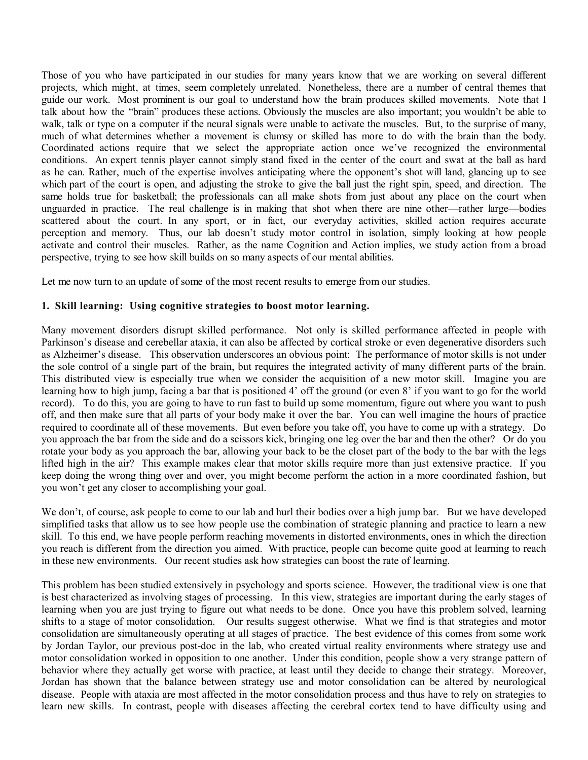Those of you who have participated in our studies for many years know that we are working on several different projects, which might, at times, seem completely unrelated. Nonetheless, there are a number of central themes that guide our work. Most prominent is our goal to understand how the brain produces skilled movements. Note that I talk about how the "brain" produces these actions. Obviously the muscles are also important; you wouldn't be able to walk, talk or type on a computer if the neural signals were unable to activate the muscles. But, to the surprise of many, much of what determines whether a movement is clumsy or skilled has more to do with the brain than the body. Coordinated actions require that we select the appropriate action once we've recognized the environmental conditions. An expert tennis player cannot simply stand fixed in the center of the court and swat at the ball as hard as he can. Rather, much of the expertise involves anticipating where the opponent's shot will land, glancing up to see which part of the court is open, and adjusting the stroke to give the ball just the right spin, speed, and direction. The same holds true for basketball; the professionals can all make shots from just about any place on the court when unguarded in practice. The real challenge is in making that shot when there are nine other—rather large—bodies scattered about the court. In any sport, or in fact, our everyday activities, skilled action requires accurate perception and memory. Thus, our lab doesn't study motor control in isolation, simply looking at how people activate and control their muscles. Rather, as the name Cognition and Action implies, we study action from a broad perspective, trying to see how skill builds on so many aspects of our mental abilities.

Let me now turn to an update of some of the most recent results to emerge from our studies.

## **1. Skill learning: Using cognitive strategies to boost motor learning.**

Many movement disorders disrupt skilled performance. Not only is skilled performance affected in people with Parkinson's disease and cerebellar ataxia, it can also be affected by cortical stroke or even degenerative disorders such as Alzheimer's disease. This observation underscores an obvious point: The performance of motor skills is not under the sole control of a single part of the brain, but requires the integrated activity of many different parts of the brain. This distributed view is especially true when we consider the acquisition of a new motor skill. Imagine you are learning how to high jump, facing a bar that is positioned 4' off the ground (or even 8' if you want to go for the world record). To do this, you are going to have to run fast to build up some momentum, figure out where you want to push off, and then make sure that all parts of your body make it over the bar. You can well imagine the hours of practice required to coordinate all of these movements. But even before you take off, you have to come up with a strategy. Do you approach the bar from the side and do a scissors kick, bringing one leg over the bar and then the other? Or do you rotate your body as you approach the bar, allowing your back to be the closet part of the body to the bar with the legs lifted high in the air? This example makes clear that motor skills require more than just extensive practice. If you keep doing the wrong thing over and over, you might become perform the action in a more coordinated fashion, but you won't get any closer to accomplishing your goal.

We don't, of course, ask people to come to our lab and hurl their bodies over a high jump bar. But we have developed simplified tasks that allow us to see how people use the combination of strategic planning and practice to learn a new skill. To this end, we have people perform reaching movements in distorted environments, ones in which the direction you reach is different from the direction you aimed. With practice, people can become quite good at learning to reach in these new environments. Our recent studies ask how strategies can boost the rate of learning.

This problem has been studied extensively in psychology and sports science. However, the traditional view is one that is best characterized as involving stages of processing. In this view, strategies are important during the early stages of learning when you are just trying to figure out what needs to be done. Once you have this problem solved, learning shifts to a stage of motor consolidation. Our results suggest otherwise. What we find is that strategies and motor consolidation are simultaneously operating at all stages of practice. The best evidence of this comes from some work by Jordan Taylor, our previous post-doc in the lab, who created virtual reality environments where strategy use and motor consolidation worked in opposition to one another. Under this condition, people show a very strange pattern of behavior where they actually get worse with practice, at least until they decide to change their strategy. Moreover, Jordan has shown that the balance between strategy use and motor consolidation can be altered by neurological disease. People with ataxia are most affected in the motor consolidation process and thus have to rely on strategies to learn new skills. In contrast, people with diseases affecting the cerebral cortex tend to have difficulty using and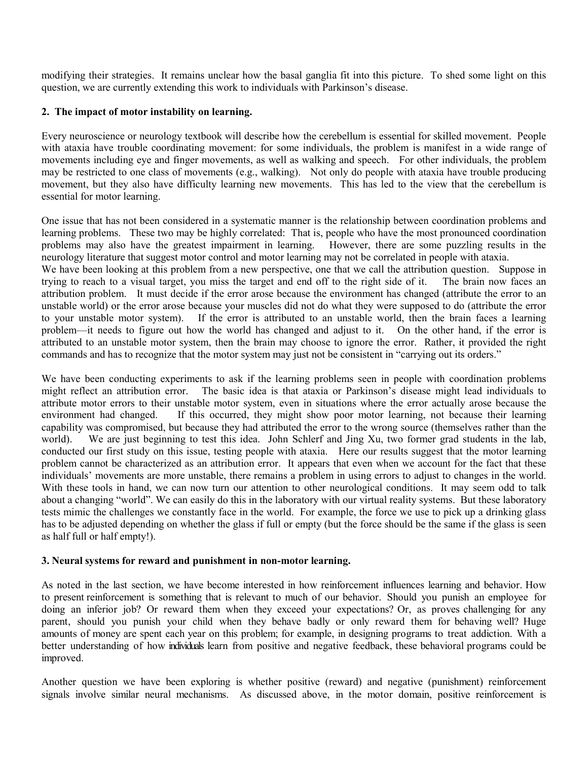modifying their strategies. It remains unclear how the basal ganglia fit into this picture. To shed some light on this question, we are currently extending this work to individuals with Parkinson's disease.

### **2. The impact of motor instability on learning.**

Every neuroscience or neurology textbook will describe how the cerebellum is essential for skilled movement. People with ataxia have trouble coordinating movement: for some individuals, the problem is manifest in a wide range of movements including eye and finger movements, as well as walking and speech. For other individuals, the problem may be restricted to one class of movements (e.g., walking). Not only do people with ataxia have trouble producing movement, but they also have difficulty learning new movements. This has led to the view that the cerebellum is essential for motor learning.

One issue that has not been considered in a systematic manner is the relationship between coordination problems and learning problems. These two may be highly correlated: That is, people who have the most pronounced coordination problems may also have the greatest impairment in learning. However, there are some puzzling results in the neurology literature that suggest motor control and motor learning may not be correlated in people with ataxia. We have been looking at this problem from a new perspective, one that we call the attribution question. Suppose in trying to reach to a visual target, you miss the target and end off to the right side of it. The brain now faces an attribution problem. It must decide if the error arose because the environment has changed (attribute the error to an unstable world) or the error arose because your muscles did not do what they were supposed to do (attribute the error to your unstable motor system). If the error is attributed to an unstable world, then the brain faces a learning problem—it needs to figure out how the world has changed and adjust to it. On the other hand, if the error is attributed to an unstable motor system, then the brain may choose to ignore the error. Rather, it provided the right commands and has to recognize that the motor system may just not be consistent in "carrying out its orders."

We have been conducting experiments to ask if the learning problems seen in people with coordination problems might reflect an attribution error. The basic idea is that ataxia or Parkinson's disease might lead individuals to attribute motor errors to their unstable motor system, even in situations where the error actually arose because the environment had changed. If this occurred, they might show poor motor learning, not because their learning capability was compromised, but because they had attributed the error to the wrong source (themselves rather than the world). We are just beginning to test this idea. John Schlerf and Jing Xu, two former grad students in the lab, conducted our first study on this issue, testing people with ataxia. Here our results suggest that the motor learning problem cannot be characterized as an attribution error. It appears that even when we account for the fact that these individuals' movements are more unstable, there remains a problem in using errors to adjust to changes in the world. With these tools in hand, we can now turn our attention to other neurological conditions. It may seem odd to talk about a changing "world". We can easily do this in the laboratory with our virtual reality systems. But these laboratory tests mimic the challenges we constantly face in the world. For example, the force we use to pick up a drinking glass has to be adjusted depending on whether the glass if full or empty (but the force should be the same if the glass is seen as half full or half empty!).

#### **3. Neural systems for reward and punishment in non-motor learning.**

As noted in the last section, we have become interested in how reinforcement influences learning and behavior. How to present reinforcement is something that is relevant to much of our behavior. Should you punish an employee for doing an inferior job? Or reward them when they exceed your expectations? Or, as proves challenging for any parent, should you punish your child when they behave badly or only reward them for behaving well? Huge amounts of money are spent each year on this problem; for example, in designing programs to treat addiction. With a better understanding of how individuals learn from positive and negative feedback, these behavioral programs could be improved.

Another question we have been exploring is whether positive (reward) and negative (punishment) reinforcement signals involve similar neural mechanisms. As discussed above, in the motor domain, positive reinforcement is